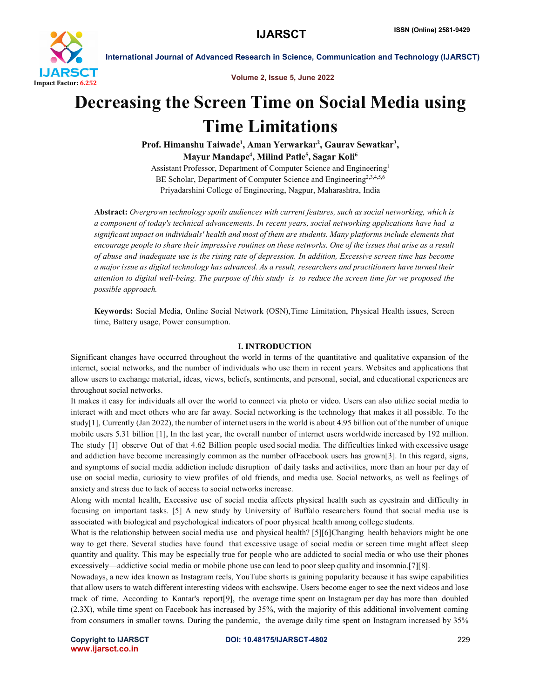

Volume 2, Issue 5, June 2022

# Decreasing the Screen Time on Social Media using Time Limitations

Prof. Himanshu Taiwade<sup>1</sup>, Aman Yerwarkar<sup>2</sup>, Gaurav Sewatkar<sup>3</sup>, Mayur Mandape<sup>4</sup>, Milind Patle<sup>5</sup>, Sagar Koli<sup>6</sup>

Assistant Professor, Department of Computer Science and Engineering1 BE Scholar, Department of Computer Science and Engineering<sup>2,3,4,5,6</sup> Priyadarshini College of Engineering, Nagpur, Maharashtra, India

Abstract: *Overgrown technology spoils audiences with current features, such as social networking, which is a component of today's technical advancements. In recent years, social networking applications have had a significant impact on individuals' health and most of them are students. Many platforms include elements that encourage people to share their impressive routines on these networks. One of the issues that arise as a result of abuse and inadequate use is the rising rate of depression. In addition, Excessive screen time has become a major issue as digital technology has advanced. As a result, researchers and practitioners have turned their*  attention to digital well-being. The purpose of this study is to reduce the screen time for we proposed the *possible approach.*

Keywords: Social Media, Online Social Network (OSN),Time Limitation, Physical Health issues, Screen time, Battery usage, Power consumption.

#### I. INTRODUCTION

Significant changes have occurred throughout the world in terms of the quantitative and qualitative expansion of the internet, social networks, and the number of individuals who use them in recent years. Websites and applications that allow users to exchange material, ideas, views, beliefs, sentiments, and personal, social, and educational experiences are throughout social networks.

It makes it easy for individuals all over the world to connect via photo or video. Users can also utilize social media to interact with and meet others who are far away. Social networking is the technology that makes it all possible. To the study[1], Currently (Jan 2022), the number of internet users in the world is about 4.95 billion out of the number of unique mobile users 5.31 billion [1], In the last year, the overall number of internet users worldwide increased by 192 million. The study [1] observe Out of that 4.62 Billion people used social media. The difficulties linked with excessive usage and addiction have become increasingly common as the number ofFacebook users has grown[3]. In this regard, signs, and symptoms of social media addiction include disruption of daily tasks and activities, more than an hour per day of use on social media, curiosity to view profiles of old friends, and media use. Social networks, as well as feelings of anxiety and stress due to lack of access to social networks increase.

Along with mental health, Excessive use of social media affects physical health such as eyestrain and difficulty in focusing on important tasks. [5] A new study by University of Buffalo researchers found that social media use is associated with biological and psychological indicators of poor physical health among college students.

What is the relationship between social media use and physical health? [5][6]Changing health behaviors might be one way to get there. Several studies have found that excessive usage of social media or screen time might affect sleep quantity and quality. This may be especially true for people who are addicted to social media or who use their phones excessively—addictive social media or mobile phone use can lead to poor sleep quality and insomnia.[7][8].

Nowadays, a new idea known as Instagram reels, YouTube shorts is gaining popularity because it has swipe capabilities that allow users to watch different interesting videos with eachswipe. Users become eager to see the next videos and lose track of time. According to Kantar's report[9], the average time spent on Instagram per day has more than doubled (2.3X), while time spent on Facebook has increased by 35%, with the majority of this additional involvement coming from consumers in smaller towns. During the pandemic, the average daily time spent on Instagram increased by 35%

www.ijarsct.co.in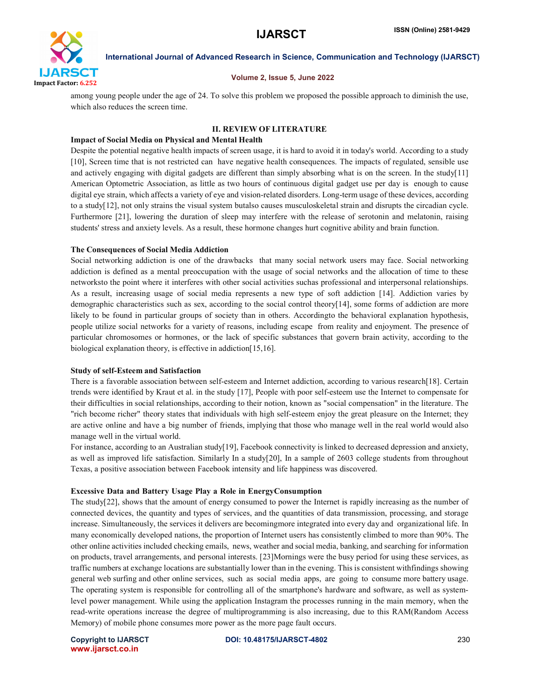

#### Volume 2, Issue 5, June 2022

among young people under the age of 24. To solve this problem we proposed the possible approach to diminish the use, which also reduces the screen time.

### II. REVIEW OF LITERATURE

#### Impact of Social Media on Physical and Mental Health

Despite the potential negative health impacts of screen usage, it is hard to avoid it in today's world. According to a study [10], Screen time that is not restricted can have negative health consequences. The impacts of regulated, sensible use and actively engaging with digital gadgets are different than simply absorbing what is on the screen. In the study[11] American Optometric Association, as little as two hours of continuous digital gadget use per day is enough to cause digital eye strain, which affects a variety of eye and vision-related disorders. Long-term usage of these devices, according to a study[12], not only strains the visual system butalso causes musculoskeletal strain and disrupts the circadian cycle. Furthermore [21], lowering the duration of sleep may interfere with the release of serotonin and melatonin, raising students' stress and anxiety levels. As a result, these hormone changes hurt cognitive ability and brain function.

#### The Consequences of Social Media Addiction

Social networking addiction is one of the drawbacks that many social network users may face. Social networking addiction is defined as a mental preoccupation with the usage of social networks and the allocation of time to these networksto the point where it interferes with other social activities suchas professional and interpersonal relationships. As a result, increasing usage of social media represents a new type of soft addiction [14]. Addiction varies by demographic characteristics such as sex, according to the social control theory[14], some forms of addiction are more likely to be found in particular groups of society than in others. Accordingto the behavioral explanation hypothesis, people utilize social networks for a variety of reasons, including escape from reality and enjoyment. The presence of particular chromosomes or hormones, or the lack of specific substances that govern brain activity, according to the biological explanation theory, is effective in addiction[15,16].

#### Study of self-Esteem and Satisfaction

There is a favorable association between self-esteem and Internet addiction, according to various research[18]. Certain trends were identified by Kraut et al. in the study [17], People with poor self-esteem use the Internet to compensate for their difficulties in social relationships, according to their notion, known as "social compensation" in the literature. The "rich become richer" theory states that individuals with high self-esteem enjoy the great pleasure on the Internet; they are active online and have a big number of friends, implying that those who manage well in the real world would also manage well in the virtual world.

For instance, according to an Australian study[19], Facebook connectivity is linked to decreased depression and anxiety, as well as improved life satisfaction. Similarly In a study[20], In a sample of 2603 college students from throughout Texas, a positive association between Facebook intensity and life happiness was discovered.

#### Excessive Data and Battery Usage Play a Role in EnergyConsumption

The study[22], shows that the amount of energy consumed to power the Internet is rapidly increasing as the number of connected devices, the quantity and types of services, and the quantities of data transmission, processing, and storage increase. Simultaneously, the services it delivers are becomingmore integrated into every day and organizational life. In many economically developed nations, the proportion of Internet users has consistently climbed to more than 90%. The other online activities included checking emails, news, weather and social media, banking, and searching for information on products, travel arrangements, and personal interests. [23]Mornings were the busy period for using these services, as traffic numbers at exchange locations are substantially lower than in the evening. This is consistent withfindings showing general web surfing and other online services, such as social media apps, are going to consume more battery usage. The operating system is responsible for controlling all of the smartphone's hardware and software, as well as systemlevel power management. While using the application Instagram the processes running in the main memory, when the read-write operations increase the degree of multiprogramming is also increasing, due to this RAM(Random Access Memory) of mobile phone consumes more power as the more page fault occurs.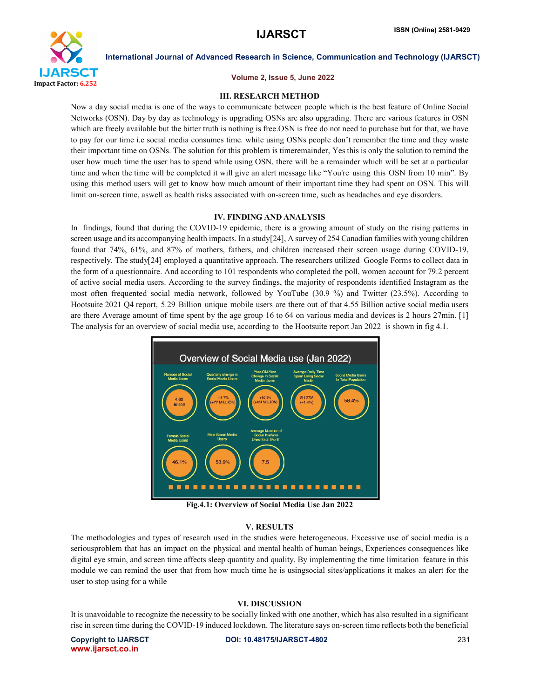

#### Volume 2, Issue 5, June 2022

#### III. RESEARCH METHOD

Now a day social media is one of the ways to communicate between people which is the best feature of Online Social Networks (OSN). Day by day as technology is upgrading OSNs are also upgrading. There are various features in OSN which are freely available but the bitter truth is nothing is free.OSN is free do not need to purchase but for that, we have to pay for our time i.e social media consumes time. while using OSNs people don't remember the time and they waste their important time on OSNs. The solution for this problem is timeremainder, Yes this is only the solution to remind the user how much time the user has to spend while using OSN. there will be a remainder which will be set at a particular time and when the time will be completed it will give an alert message like "You're using this OSN from 10 min". By using this method users will get to know how much amount of their important time they had spent on OSN. This will limit on-screen time, aswell as health risks associated with on-screen time, such as headaches and eye disorders.

#### IV. FINDING AND ANALYSIS

In findings, found that during the COVID-19 epidemic, there is a growing amount of study on the rising patterns in screen usage and its accompanying health impacts. In a study[24], A survey of 254 Canadian families with young children found that 74%, 61%, and 87% of mothers, fathers, and children increased their screen usage during COVID-19, respectively. The study[24] employed a quantitative approach. The researchers utilized Google Forms to collect data in the form of a questionnaire. And according to 101 respondents who completed the poll, women account for 79.2 percent of active social media users. According to the survey findings, the majority of respondents identified Instagram as the most often frequented social media network, followed by YouTube (30.9 %) and Twitter (23.5%). According to Hootsuite 2021 Q4 report, 5.29 Billion unique mobile users are there out of that 4.55 Billion active social media users are there Average amount of time spent by the age group 16 to 64 on various media and devices is 2 hours 27min. [1] The analysis for an overview of social media use, according to the Hootsuite report Jan 2022 is shown in fig 4.1.



Fig.4.1: Overview of Social Media Use Jan 2022

#### V. RESULTS

The methodologies and types of research used in the studies were heterogeneous. Excessive use of social media is a seriousproblem that has an impact on the physical and mental health of human beings, Experiences consequences like digital eye strain, and screen time affects sleep quantity and quality. By implementing the time limitation feature in this module we can remind the user that from how much time he is usingsocial sites/applications it makes an alert for the user to stop using for a while

#### VI. DISCUSSION

It is unavoidable to recognize the necessity to be socially linked with one another, which has also resulted in a significant rise in screen time during the COVID-19 induced lockdown. The literature says on-screen time reflects both the beneficial

www.ijarsct.co.in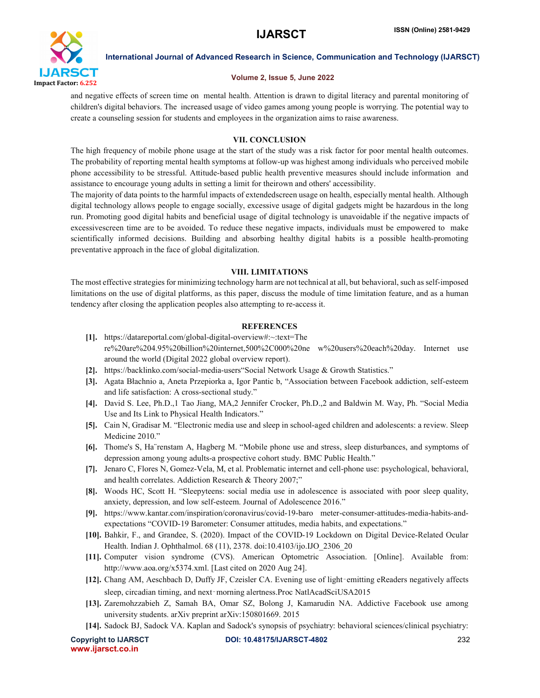

# Volume 2, Issue 5, June 2022

and negative effects of screen time on mental health. Attention is drawn to digital literacy and parental monitoring of children's digital behaviors. The increased usage of video games among young people is worrying. The potential way to create a counseling session for students and employees in the organization aims to raise awareness.

# VII. CONCLUSION

The high frequency of mobile phone usage at the start of the study was a risk factor for poor mental health outcomes. The probability of reporting mental health symptoms at follow-up was highest among individuals who perceived mobile phone accessibility to be stressful. Attitude-based public health preventive measures should include information and assistance to encourage young adults in setting a limit for theirown and others' accessibility.

The majority of data points to the harmful impacts of extendedscreen usage on health, especially mental health. Although digital technology allows people to engage socially, excessive usage of digital gadgets might be hazardous in the long run. Promoting good digital habits and beneficial usage of digital technology is unavoidable if the negative impacts of excessivescreen time are to be avoided. To reduce these negative impacts, individuals must be empowered to make scientifically informed decisions. Building and absorbing healthy digital habits is a possible health-promoting preventative approach in the face of global digitalization.

# VIII. LIMITATIONS

The most effective strategies for minimizing technology harm are not technical at all, but behavioral, such as self-imposed limitations on the use of digital platforms, as this paper, discuss the module of time limitation feature, and as a human tendency after closing the application peoples also attempting to re-access it.

# **REFERENCES**

- [1]. https://datareportal.com/global-digital-overview#:~:text=The re%20are%204.95%20billion%20internet,500%2C000%20ne w%20users%20each%20day. Internet use around the world (Digital 2022 global overview report).
- [2]. https://backlinko.com/social-media-users"Social Network Usage & Growth Statistics."
- [3]. Agata Błachnio a, Aneta Przepiorka a, Igor Pantic b, "Association between Facebook addiction, self-esteem and life satisfaction: A cross-sectional study."
- [4]. David S. Lee, Ph.D.,1 Tao Jiang, MA,2 Jennifer Crocker, Ph.D.,2 and Baldwin M. Way, Ph. "Social Media Use and Its Link to Physical Health Indicators."
- [5]. Cain N, Gradisar M. "Electronic media use and sleep in school-aged children and adolescents: a review. Sleep Medicine 2010."
- [6]. Thome's S, Ha¨renstam A, Hagberg M. "Mobile phone use and stress, sleep disturbances, and symptoms of depression among young adults-a prospective cohort study. BMC Public Health."
- [7]. Jenaro C, Flores N, Gomez-Vela, M, et al. Problematic internet and cell-phone use: psychological, behavioral, and health correlates. Addiction Research & Theory 2007;"
- [8]. Woods HC, Scott H. "Sleepyteens: social media use in adolescence is associated with poor sleep quality, anxiety, depression, and low self-esteem. Journal of Adolescence 2016."
- [9]. https://www.kantar.com/inspiration/coronavirus/covid-19-baro meter-consumer-attitudes-media-habits-andexpectations "COVID-19 Barometer: Consumer attitudes, media habits, and expectations."
- [10]. Bahkir, F., and Grandee, S. (2020). Impact of the COVID-19 Lockdown on Digital Device-Related Ocular Health. Indian J. Ophthalmol. 68 (11), 2378. doi:10.4103/ijo.IJO\_2306\_20
- [11]. Computer vision syndrome (CVS). American Optometric Association. [Online]. Available from: http://www.aoa.org/x5374.xml. [Last cited on 2020 Aug 24].
- [12]. Chang AM, Aeschbach D, Duffy JF, Czeisler CA. Evening use of light-emitting eReaders negatively affects sleep, circadian timing, and next-morning alertness.Proc NatlAcadSciUSA2015
- [13]. Zaremohzzabieh Z, Samah BA, Omar SZ, Bolong J, Kamarudin NA. Addictive Facebook use among university students. arXiv preprint arXiv:150801669. 2015
- [14]. Sadock BJ, Sadock VA. Kaplan and Sadock's synopsis of psychiatry: behavioral sciences/clinical psychiatry:

www.ijarsct.co.in